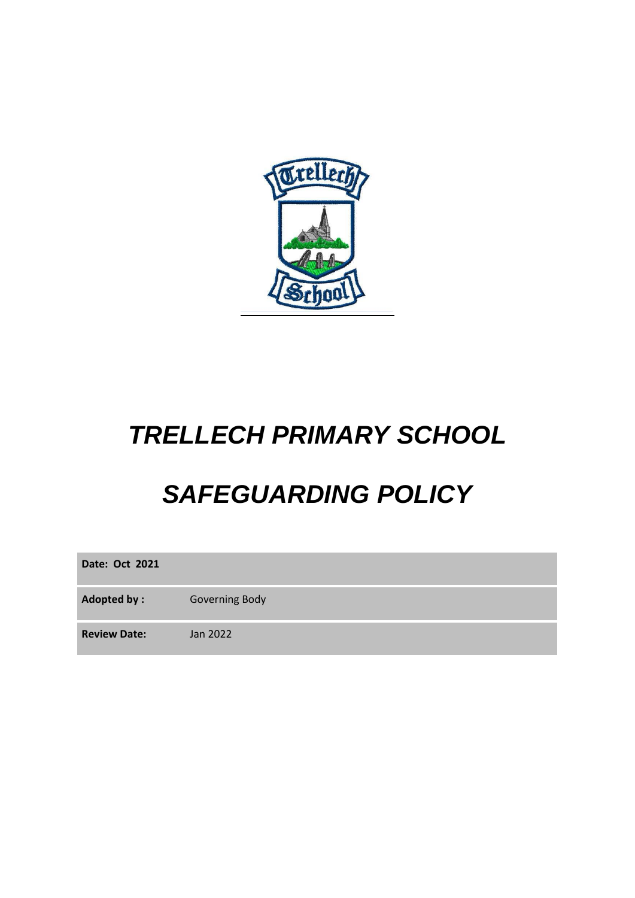

# *TRELLECH PRIMARY SCHOOL*

# *SAFEGUARDING POLICY*

**Date: Oct 2021**

Adopted by : Governing Body

**Review Date:** Jan 2022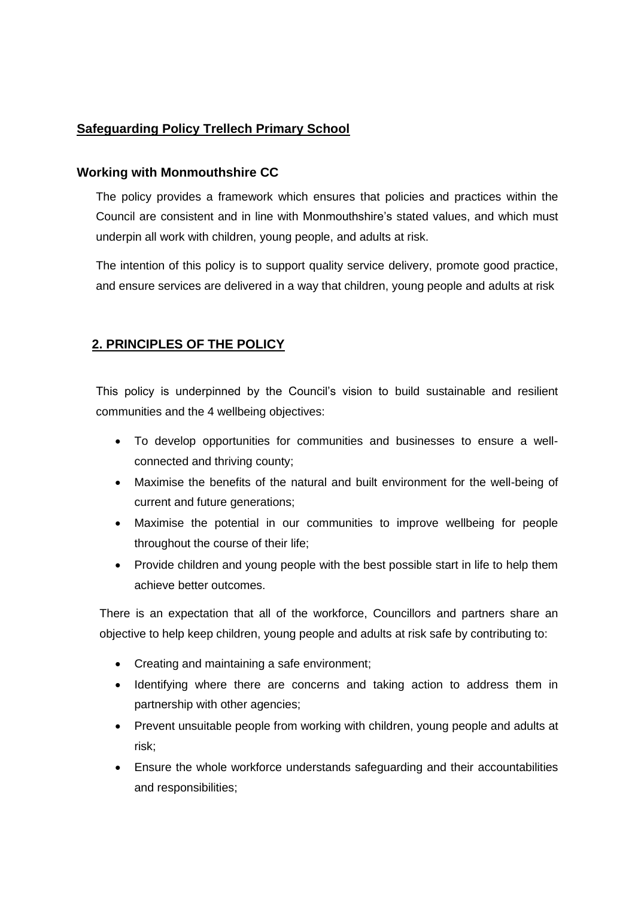# **Safeguarding Policy Trellech Primary School**

# **Working with Monmouthshire CC**

The policy provides a framework which ensures that policies and practices within the Council are consistent and in line with Monmouthshire's stated values, and which must underpin all work with children, young people, and adults at risk.

The intention of this policy is to support quality service delivery, promote good practice, and ensure services are delivered in a way that children, young people and adults at risk

# **2. PRINCIPLES OF THE POLICY**

This policy is underpinned by the Council's vision to build sustainable and resilient communities and the 4 wellbeing objectives:

- To develop opportunities for communities and businesses to ensure a wellconnected and thriving county;
- Maximise the benefits of the natural and built environment for the well-being of current and future generations;
- Maximise the potential in our communities to improve wellbeing for people throughout the course of their life;
- Provide children and young people with the best possible start in life to help them achieve better outcomes.

There is an expectation that all of the workforce, Councillors and partners share an objective to help keep children, young people and adults at risk safe by contributing to:

- Creating and maintaining a safe environment;
- Identifying where there are concerns and taking action to address them in partnership with other agencies;
- Prevent unsuitable people from working with children, young people and adults at risk;
- Ensure the whole workforce understands safeguarding and their accountabilities and responsibilities;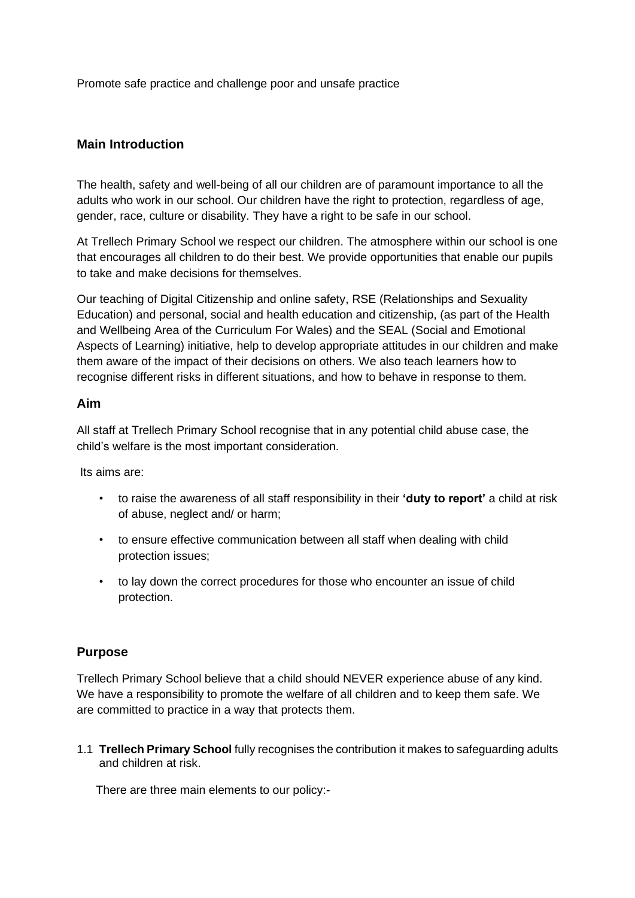Promote safe practice and challenge poor and unsafe practice

# **Main Introduction**

The health, safety and well-being of all our children are of paramount importance to all the adults who work in our school. Our children have the right to protection, regardless of age, gender, race, culture or disability. They have a right to be safe in our school.

At Trellech Primary School we respect our children. The atmosphere within our school is one that encourages all children to do their best. We provide opportunities that enable our pupils to take and make decisions for themselves.

Our teaching of Digital Citizenship and online safety, RSE (Relationships and Sexuality Education) and personal, social and health education and citizenship, (as part of the Health and Wellbeing Area of the Curriculum For Wales) and the SEAL (Social and Emotional Aspects of Learning) initiative, help to develop appropriate attitudes in our children and make them aware of the impact of their decisions on others. We also teach learners how to recognise different risks in different situations, and how to behave in response to them.

## **Aim**

All staff at Trellech Primary School recognise that in any potential child abuse case, the child's welfare is the most important consideration.

Its aims are:

- to raise the awareness of all staff responsibility in their **'duty to report'** a child at risk of abuse, neglect and/ or harm;
- to ensure effective communication between all staff when dealing with child protection issues;
- to lay down the correct procedures for those who encounter an issue of child protection.

## **Purpose**

Trellech Primary School believe that a child should NEVER experience abuse of any kind. We have a responsibility to promote the welfare of all children and to keep them safe. We are committed to practice in a way that protects them.

1.1 **Trellech Primary School** fully recognises the contribution it makes to safeguarding adults and children at risk.

There are three main elements to our policy:-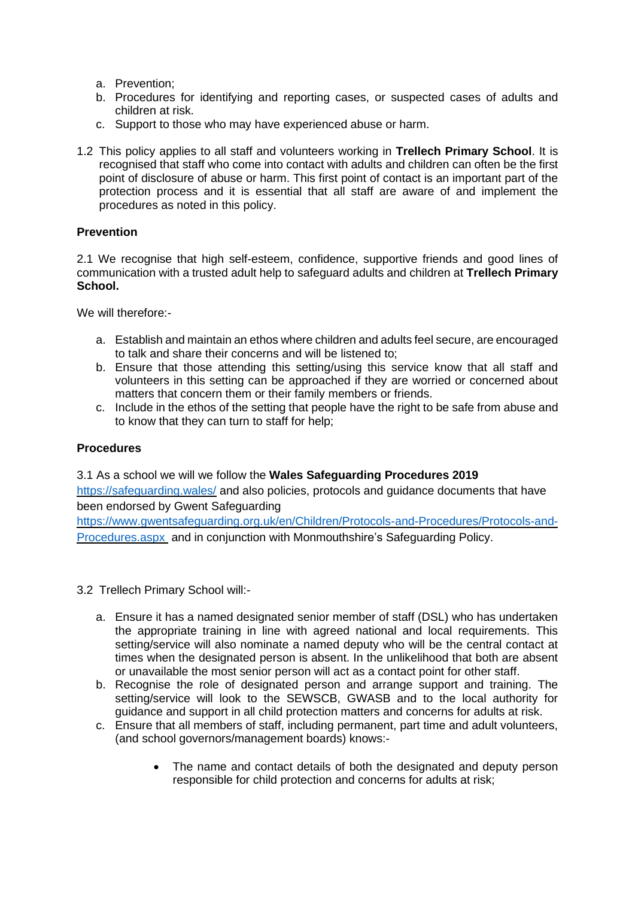- a. Prevention;
- b. Procedures for identifying and reporting cases, or suspected cases of adults and children at risk.
- c. Support to those who may have experienced abuse or harm.
- 1.2 This policy applies to all staff and volunteers working in **Trellech Primary School**. It is recognised that staff who come into contact with adults and children can often be the first point of disclosure of abuse or harm. This first point of contact is an important part of the protection process and it is essential that all staff are aware of and implement the procedures as noted in this policy.

# **Prevention**

2.1 We recognise that high self-esteem, confidence, supportive friends and good lines of communication with a trusted adult help to safeguard adults and children at **Trellech Primary School.**

We will therefore:-

- a. Establish and maintain an ethos where children and adults feel secure, are encouraged to talk and share their concerns and will be listened to;
- b. Ensure that those attending this setting/using this service know that all staff and volunteers in this setting can be approached if they are worried or concerned about matters that concern them or their family members or friends.
- c. Include in the ethos of the setting that people have the right to be safe from abuse and to know that they can turn to staff for help;

#### **Procedures**

## 3.1 As a school we will we follow the **Wales Safeguarding Procedures 2019**

<https://safeguarding.wales/> and also policies, protocols and guidance documents that have been endorsed by Gwent Safeguarding

[https://www.gwentsafeguarding.org.uk/en/Children/Protocols-and-Procedures/Protocols-and-](https://www.gwentsafeguarding.org.uk/en/Children/Protocols-and-Procedures/Protocols-and-Procedures.aspx)[Procedures.aspx](https://www.gwentsafeguarding.org.uk/en/Children/Protocols-and-Procedures/Protocols-and-Procedures.aspx) and in conjunction with Monmouthshire's Safeguarding Policy.

- 3.2 Trellech Primary School will:
	- a. Ensure it has a named designated senior member of staff (DSL) who has undertaken the appropriate training in line with agreed national and local requirements. This setting/service will also nominate a named deputy who will be the central contact at times when the designated person is absent. In the unlikelihood that both are absent or unavailable the most senior person will act as a contact point for other staff.
	- b. Recognise the role of designated person and arrange support and training. The setting/service will look to the SEWSCB, GWASB and to the local authority for guidance and support in all child protection matters and concerns for adults at risk.
	- c. Ensure that all members of staff, including permanent, part time and adult volunteers, (and school governors/management boards) knows:-
		- The name and contact details of both the designated and deputy person responsible for child protection and concerns for adults at risk;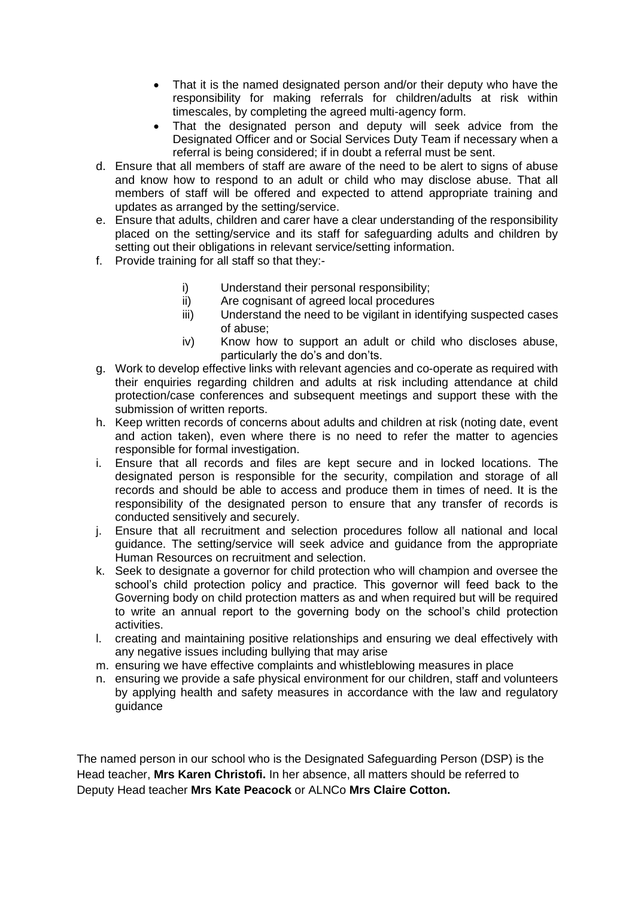- That it is the named designated person and/or their deputy who have the responsibility for making referrals for children/adults at risk within timescales, by completing the agreed multi-agency form.
- That the designated person and deputy will seek advice from the Designated Officer and or Social Services Duty Team if necessary when a referral is being considered; if in doubt a referral must be sent.
- d. Ensure that all members of staff are aware of the need to be alert to signs of abuse and know how to respond to an adult or child who may disclose abuse. That all members of staff will be offered and expected to attend appropriate training and updates as arranged by the setting/service.
- e. Ensure that adults, children and carer have a clear understanding of the responsibility placed on the setting/service and its staff for safeguarding adults and children by setting out their obligations in relevant service/setting information.
- f. Provide training for all staff so that they:
	- i) Understand their personal responsibility;
	- ii) Are cognisant of agreed local procedures
	- iii) Understand the need to be vigilant in identifying suspected cases of abuse;
	- iv) Know how to support an adult or child who discloses abuse, particularly the do's and don'ts.
- g. Work to develop effective links with relevant agencies and co-operate as required with their enquiries regarding children and adults at risk including attendance at child protection/case conferences and subsequent meetings and support these with the submission of written reports.
- h. Keep written records of concerns about adults and children at risk (noting date, event and action taken), even where there is no need to refer the matter to agencies responsible for formal investigation.
- i. Ensure that all records and files are kept secure and in locked locations. The designated person is responsible for the security, compilation and storage of all records and should be able to access and produce them in times of need. It is the responsibility of the designated person to ensure that any transfer of records is conducted sensitively and securely.
- j. Ensure that all recruitment and selection procedures follow all national and local guidance. The setting/service will seek advice and guidance from the appropriate Human Resources on recruitment and selection.
- k. Seek to designate a governor for child protection who will champion and oversee the school's child protection policy and practice. This governor will feed back to the Governing body on child protection matters as and when required but will be required to write an annual report to the governing body on the school's child protection activities.
- l. creating and maintaining positive relationships and ensuring we deal effectively with any negative issues including bullying that may arise
- m. ensuring we have effective complaints and whistleblowing measures in place
- n. ensuring we provide a safe physical environment for our children, staff and volunteers by applying health and safety measures in accordance with the law and regulatory guidance

The named person in our school who is the Designated Safeguarding Person (DSP) is the Head teacher, **Mrs Karen Christofi.** In her absence, all matters should be referred to Deputy Head teacher **Mrs Kate Peacock** or ALNCo **Mrs Claire Cotton.**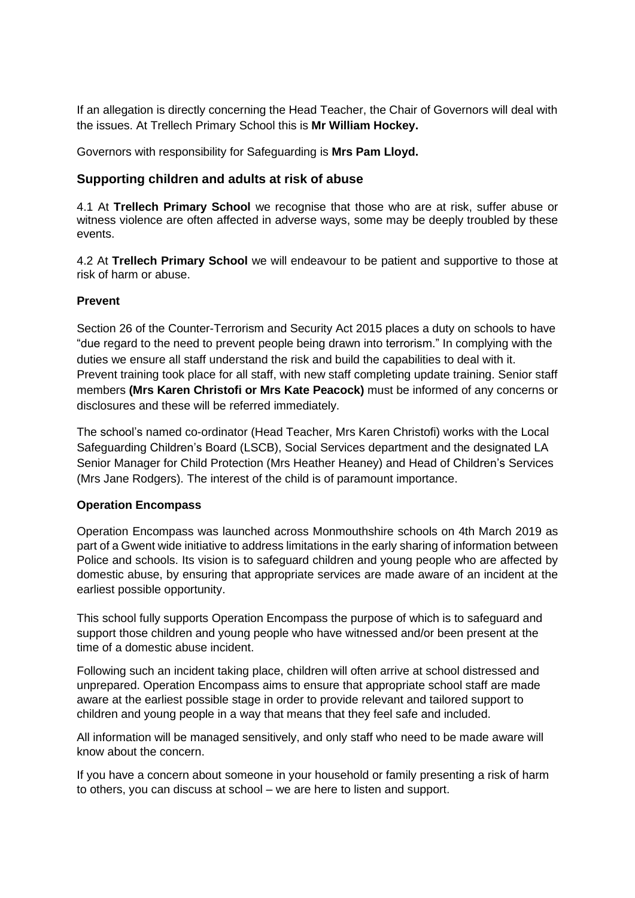If an allegation is directly concerning the Head Teacher, the Chair of Governors will deal with the issues. At Trellech Primary School this is **Mr William Hockey.**

Governors with responsibility for Safeguarding is **Mrs Pam Lloyd.**

# **Supporting children and adults at risk of abuse**

4.1 At **Trellech Primary School** we recognise that those who are at risk, suffer abuse or witness violence are often affected in adverse ways, some may be deeply troubled by these events.

4.2 At **Trellech Primary School** we will endeavour to be patient and supportive to those at risk of harm or abuse.

# **Prevent**

Section 26 of the Counter-Terrorism and Security Act 2015 places a duty on schools to have "due regard to the need to prevent people being drawn into terrorism." In complying with the duties we ensure all staff understand the risk and build the capabilities to deal with it. Prevent training took place for all staff, with new staff completing update training. Senior staff members **(Mrs Karen Christofi or Mrs Kate Peacock)** must be informed of any concerns or disclosures and these will be referred immediately.

The school's named co-ordinator (Head Teacher, Mrs Karen Christofi) works with the Local Safeguarding Children's Board (LSCB), Social Services department and the designated LA Senior Manager for Child Protection (Mrs Heather Heaney) and Head of Children's Services (Mrs Jane Rodgers). The interest of the child is of paramount importance.

# **Operation Encompass**

Operation Encompass was launched across Monmouthshire schools on 4th March 2019 as part of a Gwent wide initiative to address limitations in the early sharing of information between Police and schools. Its vision is to safeguard children and young people who are affected by domestic abuse, by ensuring that appropriate services are made aware of an incident at the earliest possible opportunity.

This school fully supports Operation Encompass the purpose of which is to safeguard and support those children and young people who have witnessed and/or been present at the time of a domestic abuse incident.

Following such an incident taking place, children will often arrive at school distressed and unprepared. Operation Encompass aims to ensure that appropriate school staff are made aware at the earliest possible stage in order to provide relevant and tailored support to children and young people in a way that means that they feel safe and included.

All information will be managed sensitively, and only staff who need to be made aware will know about the concern.

If you have a concern about someone in your household or family presenting a risk of harm to others, you can discuss at school – we are here to listen and support.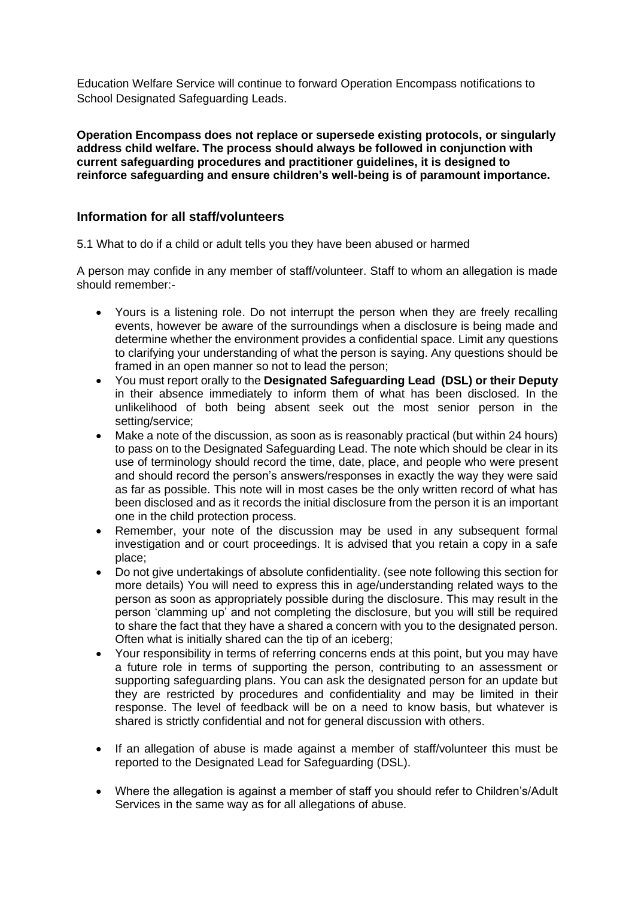Education Welfare Service will continue to forward Operation Encompass notifications to School Designated Safeguarding Leads.

**Operation Encompass does not replace or supersede existing protocols, or singularly address child welfare. The process should always be followed in conjunction with current safeguarding procedures and practitioner guidelines, it is designed to reinforce safeguarding and ensure children's well-being is of paramount importance.** 

## **Information for all staff/volunteers**

5.1 What to do if a child or adult tells you they have been abused or harmed

A person may confide in any member of staff/volunteer. Staff to whom an allegation is made should remember:-

- Yours is a listening role. Do not interrupt the person when they are freely recalling events, however be aware of the surroundings when a disclosure is being made and determine whether the environment provides a confidential space. Limit any questions to clarifying your understanding of what the person is saying. Any questions should be framed in an open manner so not to lead the person;
- You must report orally to the **Designated Safeguarding Lead (DSL) or their Deputy** in their absence immediately to inform them of what has been disclosed. In the unlikelihood of both being absent seek out the most senior person in the setting/service;
- Make a note of the discussion, as soon as is reasonably practical (but within 24 hours) to pass on to the Designated Safeguarding Lead. The note which should be clear in its use of terminology should record the time, date, place, and people who were present and should record the person's answers/responses in exactly the way they were said as far as possible. This note will in most cases be the only written record of what has been disclosed and as it records the initial disclosure from the person it is an important one in the child protection process.
- Remember, your note of the discussion may be used in any subsequent formal investigation and or court proceedings. It is advised that you retain a copy in a safe place;
- Do not give undertakings of absolute confidentiality. (see note following this section for more details) You will need to express this in age/understanding related ways to the person as soon as appropriately possible during the disclosure. This may result in the person 'clamming up' and not completing the disclosure, but you will still be required to share the fact that they have a shared a concern with you to the designated person. Often what is initially shared can the tip of an iceberg;
- Your responsibility in terms of referring concerns ends at this point, but you may have a future role in terms of supporting the person, contributing to an assessment or supporting safeguarding plans. You can ask the designated person for an update but they are restricted by procedures and confidentiality and may be limited in their response. The level of feedback will be on a need to know basis, but whatever is shared is strictly confidential and not for general discussion with others.
- If an allegation of abuse is made against a member of staff/volunteer this must be reported to the Designated Lead for Safeguarding (DSL).
- Where the allegation is against a member of staff you should refer to Children's/Adult Services in the same way as for all allegations of abuse.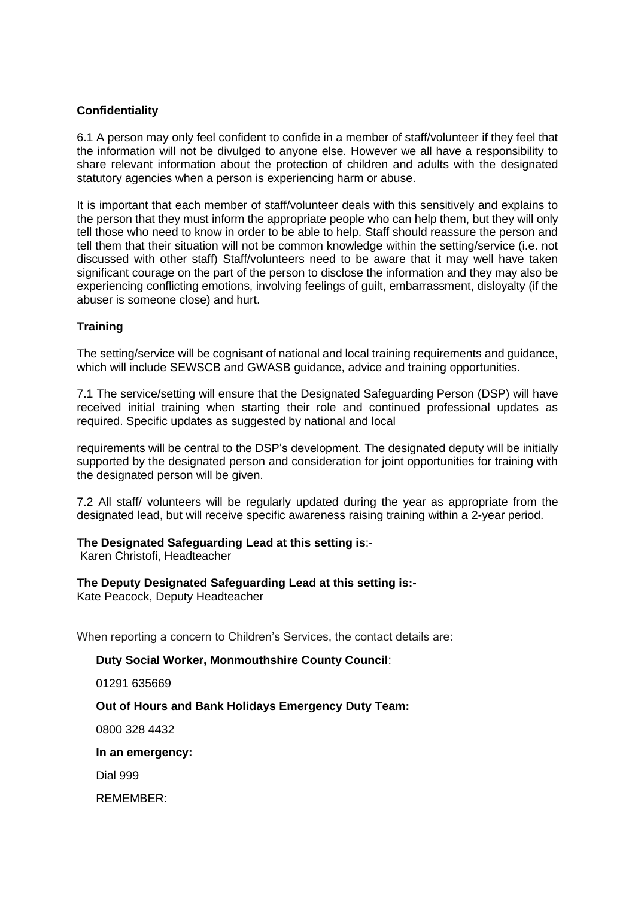# **Confidentiality**

6.1 A person may only feel confident to confide in a member of staff/volunteer if they feel that the information will not be divulged to anyone else. However we all have a responsibility to share relevant information about the protection of children and adults with the designated statutory agencies when a person is experiencing harm or abuse.

It is important that each member of staff/volunteer deals with this sensitively and explains to the person that they must inform the appropriate people who can help them, but they will only tell those who need to know in order to be able to help. Staff should reassure the person and tell them that their situation will not be common knowledge within the setting/service (i.e. not discussed with other staff) Staff/volunteers need to be aware that it may well have taken significant courage on the part of the person to disclose the information and they may also be experiencing conflicting emotions, involving feelings of guilt, embarrassment, disloyalty (if the abuser is someone close) and hurt.

# **Training**

The setting/service will be cognisant of national and local training requirements and guidance. which will include SEWSCB and GWASB guidance, advice and training opportunities.

7.1 The service/setting will ensure that the Designated Safeguarding Person (DSP) will have received initial training when starting their role and continued professional updates as required. Specific updates as suggested by national and local

requirements will be central to the DSP's development. The designated deputy will be initially supported by the designated person and consideration for joint opportunities for training with the designated person will be given.

7.2 All staff/ volunteers will be regularly updated during the year as appropriate from the designated lead, but will receive specific awareness raising training within a 2-year period.

# **The Designated Safeguarding Lead at this setting is**:-

Karen Christofi, Headteacher

## **The Deputy Designated Safeguarding Lead at this setting is:-**

Kate Peacock, Deputy Headteacher

When reporting a concern to Children's Services, the contact details are:

#### **Duty Social Worker, Monmouthshire County Council**:

01291 635669

## **Out of Hours and Bank Holidays Emergency Duty Team:**

0800 328 4432

#### **In an emergency:**

Dial 999

REMEMBER: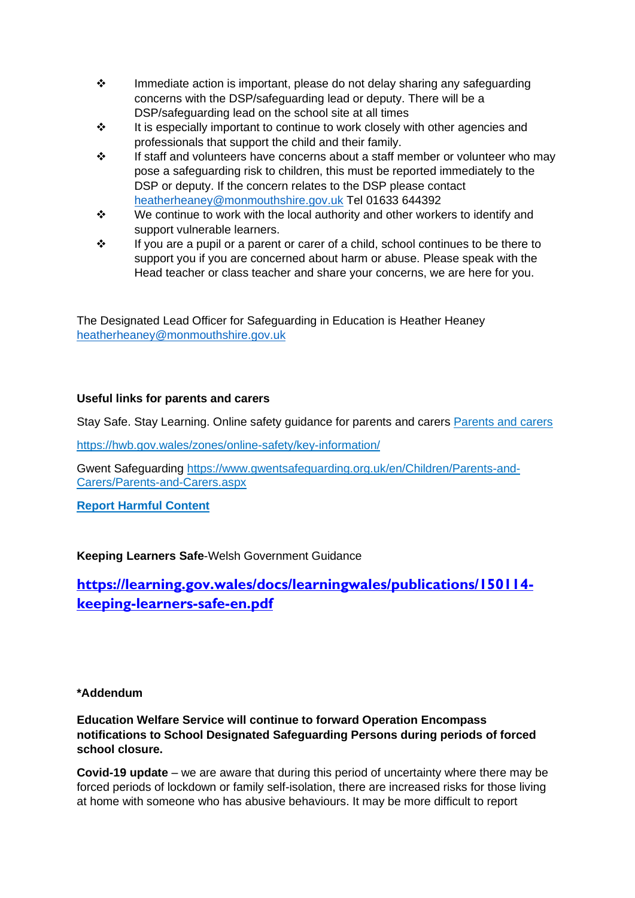- ❖ Immediate action is important, please do not delay sharing any safeguarding concerns with the DSP/safeguarding lead or deputy. There will be a DSP/safeguarding lead on the school site at all times
- ❖ It is especially important to continue to work closely with other agencies and professionals that support the child and their family.
- ❖ If staff and volunteers have concerns about a staff member or volunteer who may pose a safeguarding risk to children, this must be reported immediately to the DSP or deputy. If the concern relates to the DSP please contact [heatherheaney@monmouthshire.gov.uk](mailto:heatherheaney@monmouthshire.gov.uk) Tel 01633 644392
- ❖ We continue to work with the local authority and other workers to identify and support vulnerable learners.
- $\div$  If you are a pupil or a parent or carer of a child, school continues to be there to support you if you are concerned about harm or abuse. Please speak with the Head teacher or class teacher and share your concerns, we are here for you.

The Designated Lead Officer for Safeguarding in Education is Heather Heaney [heatherheaney@monmouthshire.gov.uk](mailto:heatherheaney@monmouthshire.gov.uk)

# **Useful links for parents and carers**

Stay Safe. Stay Learning. Online safety guidance for parents and carers [Parents and carers](https://eur03.safelinks.protection.outlook.com/?url=https%3A%2F%2Fhwb.gov.wales%2Fzones%2Fonline-safety%2Fkey-information%2Fparents-and-carers%2F&data=02%7C01%7Cheatherheaney%40monmouthshire.gov.uk%7C79c98e7cb1eb4a0bbfa408d80b9900ad%7C2c4d0079c52c4bb3b3cad8eaf1b6b7d5%7C0%7C0%7C637272099066188451&sdata=kE60V7t5%2Bawyi7JaR%2FmISmslrtJ4yoNrYY4ZVV0ZRQE%3D&reserved=0)

<https://hwb.gov.wales/zones/online-safety/key-information/>

Gwent Safeguarding [https://www.gwentsafeguarding.org.uk/en/Children/Parents-and-](https://www.gwentsafeguarding.org.uk/en/Children/Parents-and-Carers/Parents-and-Carers.aspx)[Carers/Parents-and-Carers.aspx](https://www.gwentsafeguarding.org.uk/en/Children/Parents-and-Carers/Parents-and-Carers.aspx)

**[Report Harmful Content](https://eur03.safelinks.protection.outlook.com/?url=https%3A%2F%2Freportharmfulcontent.com%2F%3Flang%3Den&data=02%7C01%7Cheatherheaney%40monmouthshire.gov.uk%7C6428d7f910164b89e6c708d80bbb901a%7C2c4d0079c52c4bb3b3cad8eaf1b6b7d5%7C0%7C0%7C637272247496720323&sdata=fyW0WBUASeEPCxDcv03PAkM1IuPuEjbcH7CUBCLFdkw%3D&reserved=0)**

**Keeping Learners Safe**-Welsh Government Guidance

**[https://learning.gov.wales/docs/learningwales/publications/150114](https://learning.gov.wales/docs/learningwales/publications/150114-keeping-learners-safe-en.pdf) [keeping-learners-safe-en.pdf](https://learning.gov.wales/docs/learningwales/publications/150114-keeping-learners-safe-en.pdf)**

# **\*Addendum**

**Education Welfare Service will continue to forward Operation Encompass notifications to School Designated Safeguarding Persons during periods of forced school closure.**

**Covid-19 update** – we are aware that during this period of uncertainty where there may be forced periods of lockdown or family self-isolation, there are increased risks for those living at home with someone who has abusive behaviours. It may be more difficult to report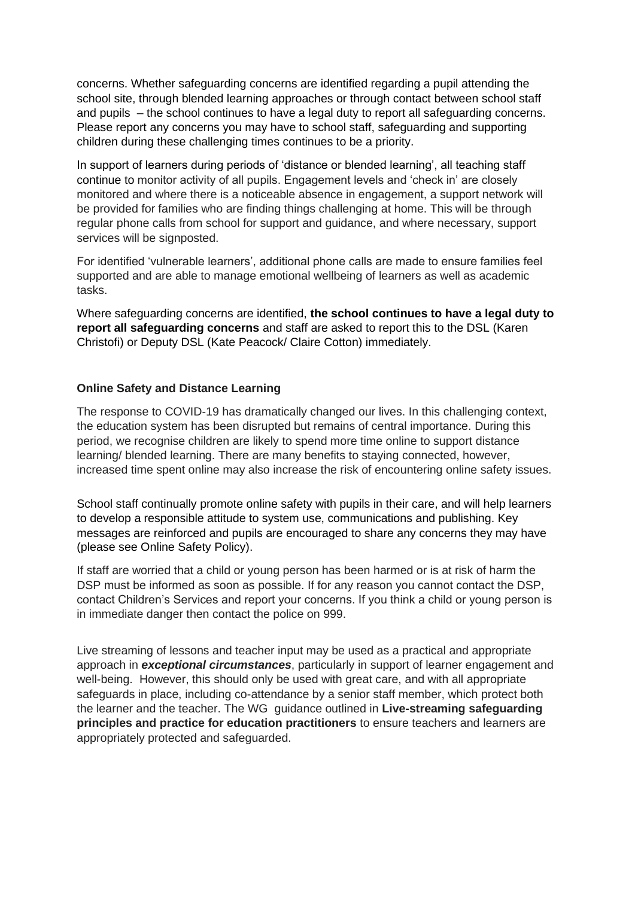concerns. Whether safeguarding concerns are identified regarding a pupil attending the school site, through blended learning approaches or through contact between school staff and pupils – the school continues to have a legal duty to report all safeguarding concerns. Please report any concerns you may have to school staff, safeguarding and supporting children during these challenging times continues to be a priority.

In support of learners during periods of 'distance or blended learning', all teaching staff continue to monitor activity of all pupils. Engagement levels and 'check in' are closely monitored and where there is a noticeable absence in engagement, a support network will be provided for families who are finding things challenging at home. This will be through regular phone calls from school for support and guidance, and where necessary, support services will be signposted.

For identified 'vulnerable learners', additional phone calls are made to ensure families feel supported and are able to manage emotional wellbeing of learners as well as academic tasks.

Where safeguarding concerns are identified, **the school continues to have a legal duty to report all safeguarding concerns** and staff are asked to report this to the DSL (Karen Christofi) or Deputy DSL (Kate Peacock/ Claire Cotton) immediately.

#### **Online Safety and Distance Learning**

The response to COVID-19 has dramatically changed our lives. In this challenging context, the education system has been disrupted but remains of central importance. During this period, we recognise children are likely to spend more time online to support distance learning/ blended learning. There are many benefits to staying connected, however, increased time spent online may also increase the risk of encountering online safety issues.

School staff continually promote online safety with pupils in their care, and will help learners to develop a responsible attitude to system use, communications and publishing. Key messages are reinforced and pupils are encouraged to share any concerns they may have (please see Online Safety Policy).

If staff are worried that a child or young person has been harmed or is at risk of harm the DSP must be informed as soon as possible. If for any reason you cannot contact the DSP, contact Children's Services and report your concerns. If you think a child or young person is in immediate danger then contact the police on 999.

Live streaming of lessons and teacher input may be used as a practical and appropriate approach in *exceptional circumstances*, particularly in support of learner engagement and well-being. However, this should only be used with great care, and with all appropriate safeguards in place, including co-attendance by a senior staff member, which protect both the learner and the teacher. The WG guidance outlined in **[Live-streaming](https://hwb.gov.wales/zones/online-safety/live-streaming-safeguarding-principles-and-practice-for-education-practitioners/) safeguarding principles and practice for education [practitioners](https://hwb.gov.wales/zones/online-safety/live-streaming-safeguarding-principles-and-practice-for-education-practitioners/)** to ensure teachers and learners are appropriately protected and safeguarded.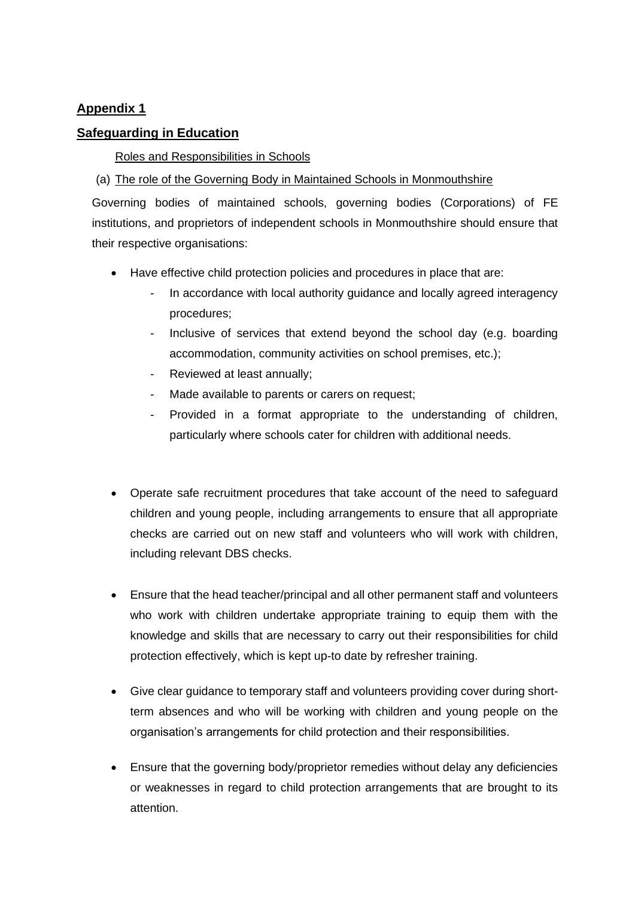# **Appendix 1**

# **Safeguarding in Education**

## Roles and Responsibilities in Schools

# (a) The role of the Governing Body in Maintained Schools in Monmouthshire

Governing bodies of maintained schools, governing bodies (Corporations) of FE institutions, and proprietors of independent schools in Monmouthshire should ensure that their respective organisations:

- Have effective child protection policies and procedures in place that are:
	- In accordance with local authority guidance and locally agreed interagency procedures;
	- Inclusive of services that extend beyond the school day (e.g. boarding accommodation, community activities on school premises, etc.);
	- Reviewed at least annually;
	- Made available to parents or carers on request;
	- Provided in a format appropriate to the understanding of children, particularly where schools cater for children with additional needs.
- Operate safe recruitment procedures that take account of the need to safeguard children and young people, including arrangements to ensure that all appropriate checks are carried out on new staff and volunteers who will work with children, including relevant DBS checks.
- Ensure that the head teacher/principal and all other permanent staff and volunteers who work with children undertake appropriate training to equip them with the knowledge and skills that are necessary to carry out their responsibilities for child protection effectively, which is kept up-to date by refresher training.
- Give clear guidance to temporary staff and volunteers providing cover during shortterm absences and who will be working with children and young people on the organisation's arrangements for child protection and their responsibilities.
- Ensure that the governing body/proprietor remedies without delay any deficiencies or weaknesses in regard to child protection arrangements that are brought to its attention.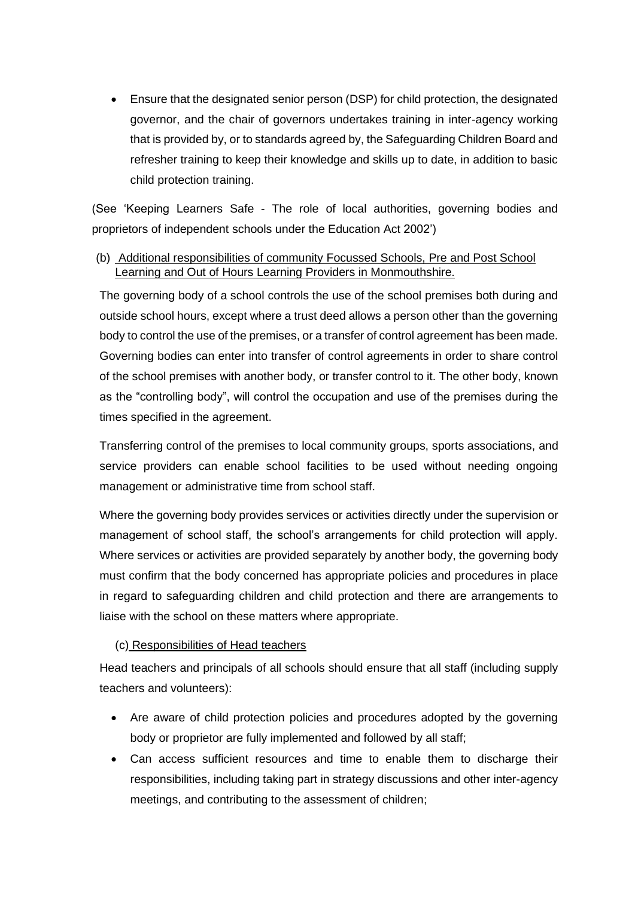• Ensure that the designated senior person (DSP) for child protection, the designated governor, and the chair of governors undertakes training in inter-agency working that is provided by, or to standards agreed by, the Safeguarding Children Board and refresher training to keep their knowledge and skills up to date, in addition to basic child protection training.

(See 'Keeping Learners Safe - The role of local authorities, governing bodies and proprietors of independent schools under the Education Act 2002')

# (b) Additional responsibilities of community Focussed Schools, Pre and Post School Learning and Out of Hours Learning Providers in Monmouthshire.

The governing body of a school controls the use of the school premises both during and outside school hours, except where a trust deed allows a person other than the governing body to control the use of the premises, or a transfer of control agreement has been made. Governing bodies can enter into transfer of control agreements in order to share control of the school premises with another body, or transfer control to it. The other body, known as the "controlling body", will control the occupation and use of the premises during the times specified in the agreement.

Transferring control of the premises to local community groups, sports associations, and service providers can enable school facilities to be used without needing ongoing management or administrative time from school staff.

Where the governing body provides services or activities directly under the supervision or management of school staff, the school's arrangements for child protection will apply. Where services or activities are provided separately by another body, the governing body must confirm that the body concerned has appropriate policies and procedures in place in regard to safeguarding children and child protection and there are arrangements to liaise with the school on these matters where appropriate.

## (c) Responsibilities of Head teachers

Head teachers and principals of all schools should ensure that all staff (including supply teachers and volunteers):

- Are aware of child protection policies and procedures adopted by the governing body or proprietor are fully implemented and followed by all staff;
- Can access sufficient resources and time to enable them to discharge their responsibilities, including taking part in strategy discussions and other inter-agency meetings, and contributing to the assessment of children;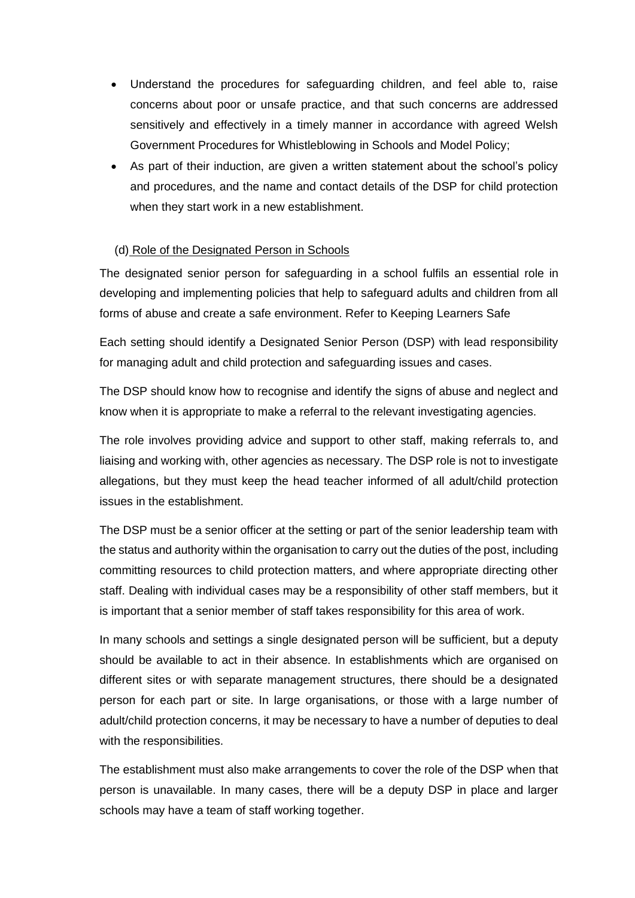- Understand the procedures for safeguarding children, and feel able to, raise concerns about poor or unsafe practice, and that such concerns are addressed sensitively and effectively in a timely manner in accordance with agreed Welsh Government Procedures for Whistleblowing in Schools and Model Policy;
- As part of their induction, are given a written statement about the school's policy and procedures, and the name and contact details of the DSP for child protection when they start work in a new establishment.

## (d) Role of the Designated Person in Schools

The designated senior person for safeguarding in a school fulfils an essential role in developing and implementing policies that help to safeguard adults and children from all forms of abuse and create a safe environment. Refer to Keeping Learners Safe

Each setting should identify a Designated Senior Person (DSP) with lead responsibility for managing adult and child protection and safeguarding issues and cases.

The DSP should know how to recognise and identify the signs of abuse and neglect and know when it is appropriate to make a referral to the relevant investigating agencies.

The role involves providing advice and support to other staff, making referrals to, and liaising and working with, other agencies as necessary. The DSP role is not to investigate allegations, but they must keep the head teacher informed of all adult/child protection issues in the establishment.

The DSP must be a senior officer at the setting or part of the senior leadership team with the status and authority within the organisation to carry out the duties of the post, including committing resources to child protection matters, and where appropriate directing other staff. Dealing with individual cases may be a responsibility of other staff members, but it is important that a senior member of staff takes responsibility for this area of work.

In many schools and settings a single designated person will be sufficient, but a deputy should be available to act in their absence. In establishments which are organised on different sites or with separate management structures, there should be a designated person for each part or site. In large organisations, or those with a large number of adult/child protection concerns, it may be necessary to have a number of deputies to deal with the responsibilities.

The establishment must also make arrangements to cover the role of the DSP when that person is unavailable. In many cases, there will be a deputy DSP in place and larger schools may have a team of staff working together.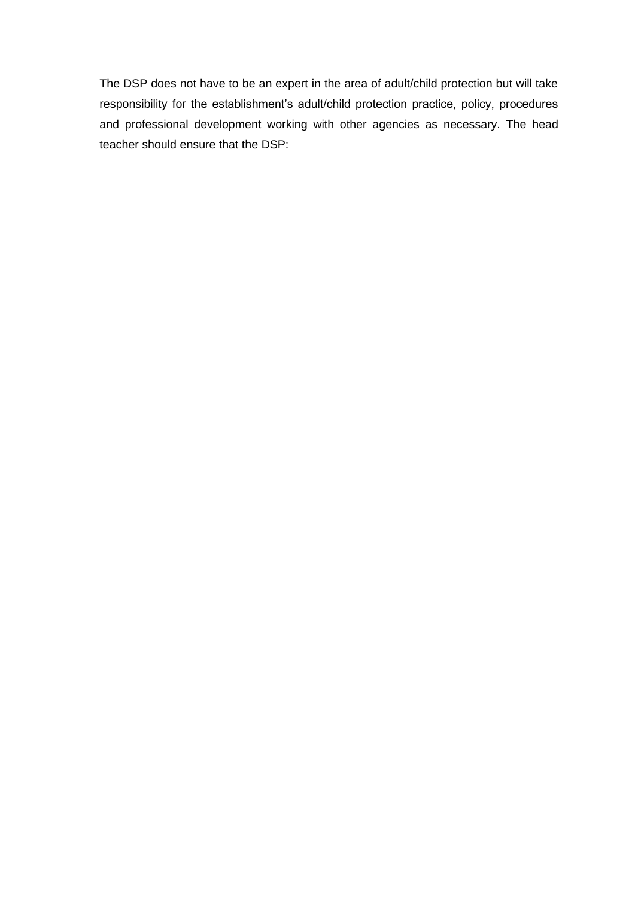The DSP does not have to be an expert in the area of adult/child protection but will take responsibility for the establishment's adult/child protection practice, policy, procedures and professional development working with other agencies as necessary. The head teacher should ensure that the DSP: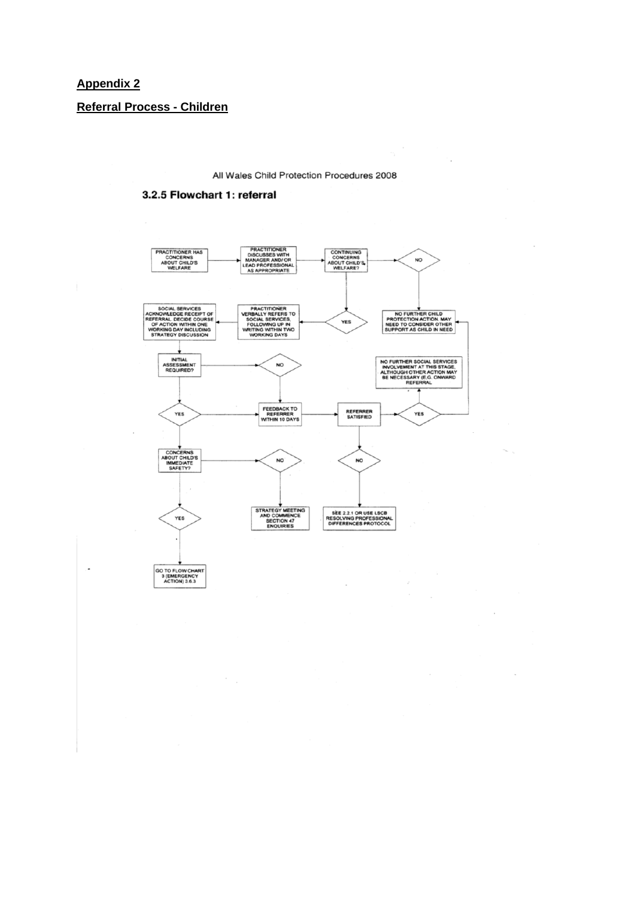#### **Appendix 2**

 $\overline{a}$ 

**Referral Process - Children**

All Wales Child Protection Procedures 2008

L.

 $\overline{\phantom{a}}$ 

#### 3.2.5 Flowchart 1: referral

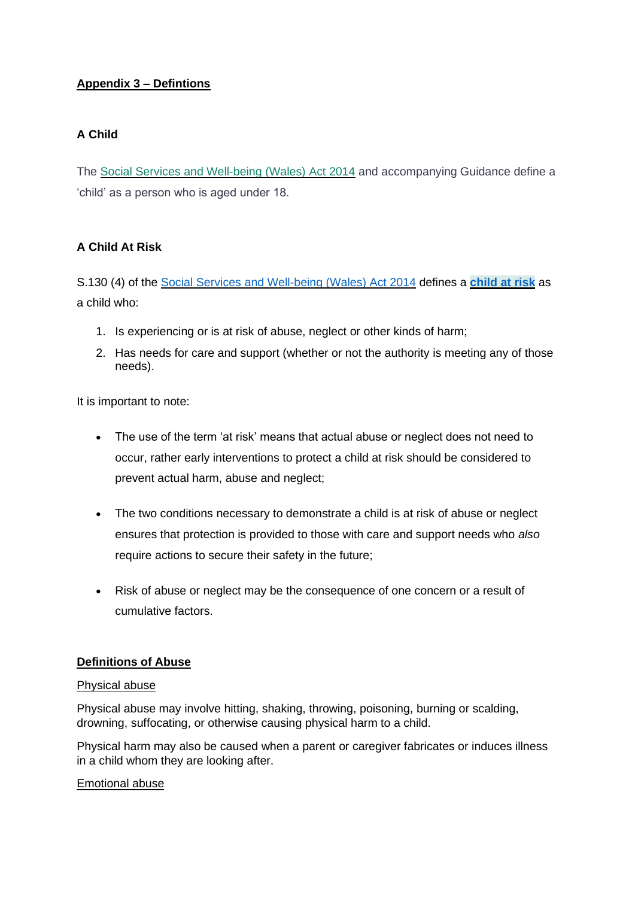# **Appendix 3 – Defintions**

# **A Child**

The [Social Services and Well-being \(Wales\) Act 2014](http://www.legislation.gov.uk/anaw/2014/4/pdfs/anaw_20140004_en.pdf) and accompanying Guidance define a 'child' as a person who is aged under 18.

# **A Child At Risk**

S.130 (4) of the [Social Services and Well-being \(Wales\) Act 2014](http://www.legislation.gov.uk/anaw/2014/4/pdfs/anaw_20140004_en.pdf) defines a **[child at risk](https://safeguarding.wales/chi/c1/c1.p4.html#tooltip)** as a child who:

- 1. Is experiencing or is at risk of abuse, neglect or other kinds of harm;
- 2. Has needs for care and support (whether or not the authority is meeting any of those needs).

It is important to note:

- The use of the term 'at risk' means that actual abuse or neglect does not need to occur, rather early interventions to protect a child at risk should be considered to prevent actual harm, abuse and neglect;
- The two conditions necessary to demonstrate a child is at risk of abuse or neglect ensures that protection is provided to those with care and support needs who *also* require actions to secure their safety in the future;
- Risk of abuse or neglect may be the consequence of one concern or a result of cumulative factors.

# **Definitions of Abuse**

## Physical abuse

Physical abuse may involve hitting, shaking, throwing, poisoning, burning or scalding, drowning, suffocating, or otherwise causing physical harm to a child.

Physical harm may also be caused when a parent or caregiver fabricates or induces illness in a child whom they are looking after.

## Emotional abuse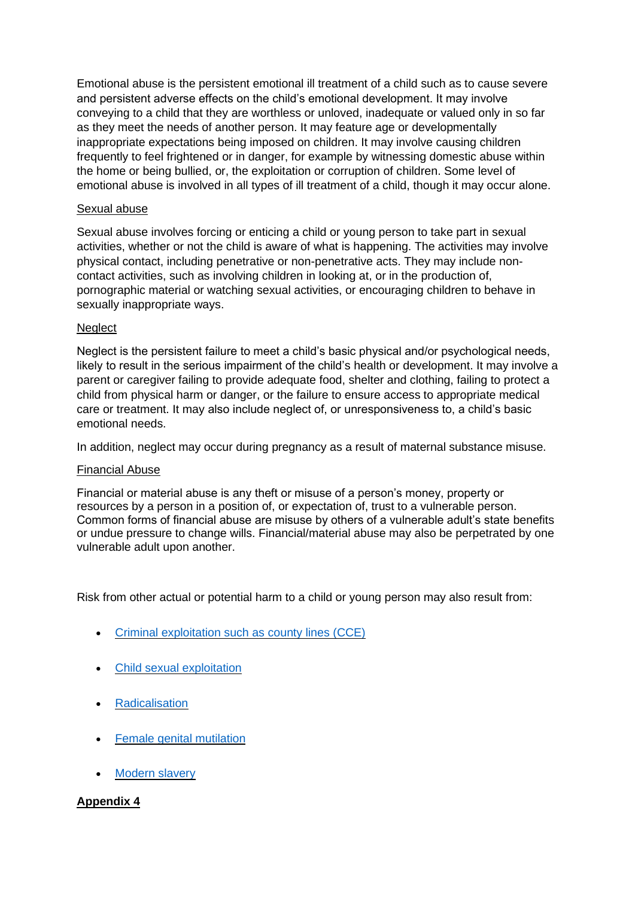Emotional abuse is the persistent emotional ill treatment of a child such as to cause severe and persistent adverse effects on the child's emotional development. It may involve conveying to a child that they are worthless or unloved, inadequate or valued only in so far as they meet the needs of another person. It may feature age or developmentally inappropriate expectations being imposed on children. It may involve causing children frequently to feel frightened or in danger, for example by witnessing domestic abuse within the home or being bullied, or, the exploitation or corruption of children. Some level of emotional abuse is involved in all types of ill treatment of a child, though it may occur alone.

## Sexual abuse

Sexual abuse involves forcing or enticing a child or young person to take part in sexual activities, whether or not the child is aware of what is happening. The activities may involve physical contact, including penetrative or non-penetrative acts. They may include noncontact activities, such as involving children in looking at, or in the production of, pornographic material or watching sexual activities, or encouraging children to behave in sexually inappropriate ways.

# **Neglect**

Neglect is the persistent failure to meet a child's basic physical and/or psychological needs, likely to result in the serious impairment of the child's health or development. It may involve a parent or caregiver failing to provide adequate food, shelter and clothing, failing to protect a child from physical harm or danger, or the failure to ensure access to appropriate medical care or treatment. It may also include neglect of, or unresponsiveness to, a child's basic emotional needs.

In addition, neglect may occur during pregnancy as a result of maternal substance misuse.

## Financial Abuse

Financial or material abuse is any theft or misuse of a person's money, property or resources by a person in a position of, or expectation of, trust to a vulnerable person. Common forms of financial abuse are misuse by others of a vulnerable adult's state benefits or undue pressure to change wills. Financial/material abuse may also be perpetrated by one vulnerable adult upon another.

Risk from other actual or potential harm to a child or young person may also result from:

- [Criminal exploitation such as county lines \(CCE\)](https://safeguarding.wales/chi/c6/c6.p1.html)
- [Child sexual exploitation](https://safeguarding.wales/chi/c6/c6.p10.html)
- **[Radicalisation](https://safeguarding.wales/chi/c6/c6.p6.html)**
- [Female genital mutilation](https://safeguarding.wales/chi/c6/c6.p2.html)
- **[Modern slavery](https://safeguarding.wales/chi/c6/c6.p3.html)**

# **Appendix 4**